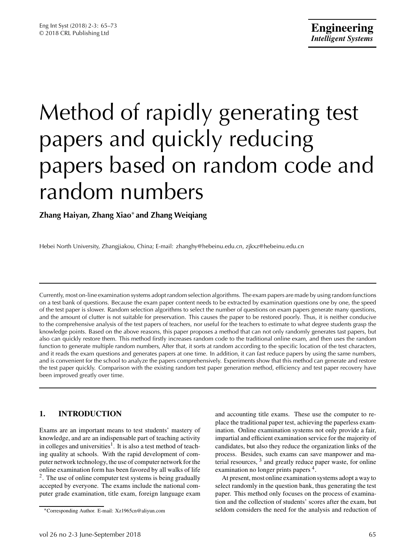# Method of rapidly generating test papers and quickly reducing papers based on random code and random numbers

# **Zhang Haiyan, Zhang Xiao**∗ **and Zhang Weiqiang**

Hebei North University, Zhangjiakou, China; E-mail: zhanghy@hebeinu.edu.cn, zjkxz@hebeinu.edu.cn

Currently, most on-line examination systems adopt random selection algorithms. The exam papers are made by using random functions on a test bank of questions. Because the exam paper content needs to be extracted by examination questions one by one, the speed of the test paper is slower. Random selection algorithms to select the number of questions on exam papers generate many questions, and the amount of clutter is not suitable for preservation. This causes the paper to be restored poorly. Thus, it is neither conducive to the comprehensive analysis of the test papers of teachers, nor useful for the teachers to estimate to what degree students grasp the knowledge points. Based on the above reasons, this paper proposes a method that can not only randomly generates tast papers, but also can quickly restore them. This method firstly increases random code to the traditional online exam, and then uses the random function to generate multiple random numbers, After that, it sorts at random according to the specific location of the test characters, and it reads the exam questions and generates papers at one time. In addition, it can fast reduce papers by using the same numbers, and is convenient for the school to analyze the papers comprehensively. Experiments show that this method can generate and restore the test paper quickly. Comparison with the existing random test paper generation method, efficiency and test paper recovery have been improved greatly over time.

# **1. INTRODUCTION**

Exams are an important means to test students' mastery of knowledge, and are an indispensable part of teaching activity in colleges and universities<sup>1</sup>. It is also a test method of teaching quality at schools. With the rapid development of computer network technology, the use of computer network for the online examination form has been favored by all walks of life  $2$ . The use of online computer test systems is being gradually accepted by everyone. The exams include the national computer grade examination, title exam, foreign language exam and accounting title exams. These use the computer to replace the traditional paper test, achieving the paperless examination. Online examination systems not only provide a fair, impartial and efficient examination service for the majority of candidates, but also they reduce the organization links of the process. Besides, such exams can save manpower and material resources,  $3$  and greatly reduce paper waste, for online examination no longer prints papers<sup>4</sup>.

At present, most online examination systems adopt a way to select randomly in the question bank, thus generating the test paper. This method only focuses on the process of examination and the collection of students' scores after the exam, but seldom considers the need for the analysis and reduction of

<sup>∗</sup>Corresponding Author. E-mail: Xz1965cn@aliyun.com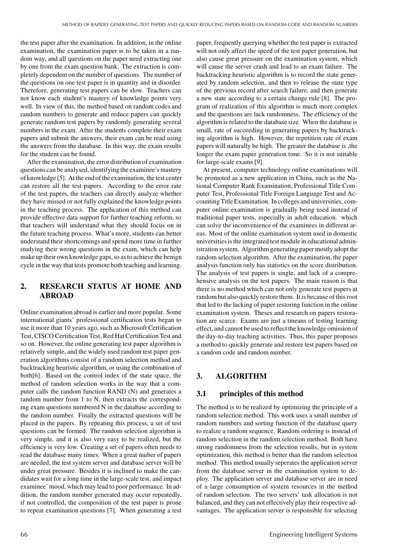the test paper after the examination. In addition, in the online examination, the examination paper is to be taken in a random way, and all questions on the paper need extracting one by one from the exam question bank. The extraction is completely dependent on the number of questions. The number of the questions on one test paper is in quantity and in disorder. Therefore, generating test papers can be slow. Teachers can not know each student's mastery of knowledge points very well. In view of this, the method based on random codes and random numbers to generate and reduce papers can quickly generate random test papers by randomly generating several numbers in the exam. After the students complete their exam papers and submit the answers, their exam can be read using the answers from the database. In this way, the exam results for the student can be found.

After the examination, the error distribution of examination questions can be analysed, identifying the examinee's mastery of knowledge [5]. At the end of the examination, thetest center can restore all the test papers. According to the error rate of the test papers, the teachers can directly analyze whether they have missed or not fully explained the knowledge points in the teaching process. The application of this method can provide effective data support for further teaching reform, so that teachers will understand what they should focus on in the future teaching process. What's more, students can better understand their shortcomings and spend more time in further studying their wrong questions in the exam, which can help make up their own knowledge gaps, so as to achieve the benign cycle in the way that tests promote both teaching and learning.

# **2. RESEARCH STATUS AT HOME AND ABROAD**

Online examination abroad is earlier and more popular. Some international giants' professional certification tests began to use it more than 10 years ago, such as Microsoft Certification Test, CISCO Certification Test, Red Hat Certification Test and so on. However, the online generating test paper algorithm is relatively simple, and the widely used random test paper generation algorithms consist of a random selection method and backtracking heuristic algorithm, or using the combination of both[6]. Based on the control index of the state space, the method of random selection works in the way that a computer calls the random function RAND (N) and generates a random number from 1 to N, then extracts the corresponding exam questions numbered N in the database according to the random number. Finally the extracted questions will be placed in the papers. By repeating this process, a set of test questions can be formed. The random selection algorithm is very simple, and it is also very easy to be realized, but the efficiency is very low. Creating a set of papers often needs to read the database many times. When a great muber of papers are needed, the test system server and database server will be under great pressure. Besides it is inclined to make the candidates wait for a long time in the large-scale test, and impact examinee' mood, which may lead to poor performance. In addition, the random number generated may occur repeatedly, if not controlled, the composition of the test paper is prone to repeat examination questions [7]. When generating a test

paper, frequently querying whether the test paper is extracted will not only affect the speed of the test paper generation, but also cause great pressure on the examination system, which will cause the server crash and lead to an exam failure. The backtracking heuristic algorithm is to record the state generated by random selection, and then to release the state type of the previous record after search failure, and then generate a new state according to a certain change rule [8]. The program of realization of this algorithm is much more complex and the questions are lack randomness. The efficiency of the algorithm is related to the database size. When the database is small, rate of succeeding in generating papers by backtracking algorithm is high. However, the repetition rate of exam papers will naturally be high. The greater the database is ,the longer the exam paper generation time. So it is not suitable for large-scale exams [9].

At present, computer technology online examinations will be promoted as a new application in China, such as the National Computer Rank Examination, Professional Title Computer Test, Professional Title Foreign Language Test and Accounting Title Examination. In colleges and universities, computer online examination is gradually being used instead of traditional paper tests, especially in adult education. which can solve the inconvenience of the examinees in different areas. Most of the online examination system used in domestic universities is the integrated test module in educational administration system. Algorithm generating paper mostly adopt the random selection algorithm. After the examination, the paper analysis function only has statistics on the score distribution. The analysis of test papers is single, and lack of a comprehensive analysis on the test papers. The main reason is that there is no method which can not only generate test papers at random but also quickly restore them. It is because of this root that led to the lacking of paper restoring function in the online examination system. Theses and research on papers restoration are scarce. Exams are just a tmeans of testing learning effect, and cannot be used to reflect the knowledge omission of the day-to-day teaching activities. Thus, this paper proposes a method to quickly generate and restore test papers based on a random code and random number.

# **3. ALGORITHM**

## **3.1 principles of this method**

The method is to be realized by optimizing the principle of a random selection method. This work uses a small number of random numbers and sorting function of the database query to realize a random sequence. Random ordering is instead of random selection in the random selection method. Both have strong randomness from the selection results, but in system optimization, this method is better than the random selection method. This method usually seperates the application server from the database server in the examination system to deploy. The application server and database server are in need of a large consumption of system resources in the method of random selection. The two servers' task allocation is not balanced, and they can not effectively play their respective advantages. The application server is responsible for selecting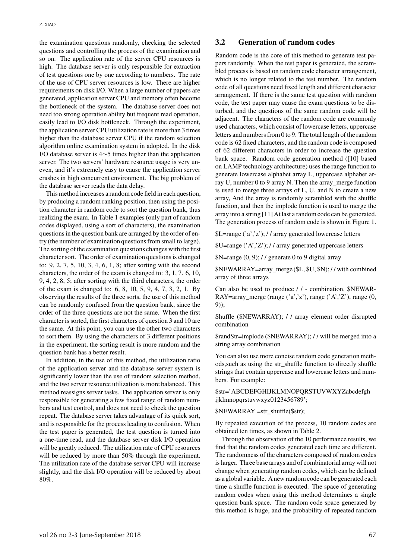the examination questions randomly, checking the selected questions and controlling the process of the examination and so on. The application rate of the server CPU resources is high. The database server is only responsible for extraction of test questions one by one according to numbers. The rate of the use of CPU server resources is low. There are higher requirements on disk I/O. When a large number of papers are generated, application server CPU and memory often become the bottleneck of the system. The database server does not need too strong operation ability but frequent read operation, easily lead to I/O disk bottleneck. Through the experiment, the application server CPU utilization rate is more than 3 times higher than the database server CPU if the random selection algorithm online examination system in adopted. In the disk I/O database server is 4∼5 times higher than the application server. The two servers' hardware resource usage is very uneven, and it's extremely easy to cause the application server crashes in high concurrent environment. The big problem of the database server reads the data delay.

This method increases a random code field in each question, by producing a random ranking position, then using the position character in random code to sort the question bank, thus realizing the exam. In Table 1 examples (only part of random codes displayed, using a sort of characters), the examination questions in the question bank are arranged by the order of entry (the number of examination questions from small to large). The sorting of the examination questions changes with the first character sort. The order of examination questions is changed to: 9, 2, 7, 5, 10, 3, 4, 6, 1, 8; after sorting with the second characters, the order of the exam is changed to: 3, 1, 7. 6, 10, 9, 4, 2, 8, 5; after sorting with the third characters, the order of the exam is changed to: 6, 8, 10, 5, 9, 4, 7, 3, 2, 1. By observing the results of the three sorts, the use of this method can be randomly confused from the question bank, since the order of the three questions are not the same. When the first character is sorted, the first characters of question 3 and 10 are the same. At this point, you can use the other two characters to sort them. By using the characters of 3 different positions in the experiment, the sorting result is more random and the question bank has a better result.

In addition, in the use of this method, the utilization ratio of the application server and the database server system is significantly lower than the use of random selection method, and the two server resource utilization is more balanced. This method reassigns server tasks. The application server is only responsible for generating a few fixed range of random numbers and test control, and does not need to check the question repeat. The database server takes advantage of its quick sort, and is responsible for the process leading to confusion. When the test paper is generated, the test question is turned into a one-time read, and the database server disk I/O operation will be greatly reduced. The utilization rate of CPU resources will be reduced by more than 50% through the experiment. The utilization rate of the database server CPU will increase slightly, and the disk I/O operation will be reduced by about 80%.

# **3.2 Generation of random codes**

Random code is the core of this method to generate test papers randomly. When the test paper is generated, the scrambled process is based on random code character arrangement, which is no longer related to the test number. The random code of all questions need fixed length and different character arrangement. If there is the same test question with random code, the test paper may cause the exam questions to be disturbed, and the questions of the same random code will be adjacent. The characters of the random code are commonly used characters, which consist of lowercase letters, uppercase letters and numbers from 0 to 9. The total length of the random code is 62 fixed characters, and the random code is composed of 62 different characters in order to increase the question bank space. Random code generation method ([10] based on LAMP technology architecture) uses the range function to generate lowercase alphabet array L, uppercase alphabet array U, number 0 to 9 array N. Then the array\_merge function is used to merge three arrays of L, U, and N to create a new array, And the array is randomly scrambled with the shuffle function, and then the implode function is used to merge the array into a string [11] At last a random code can be generated. The generation process of random code is shown in Figure 1.

\$L=range ('a','z'); / / array generated lowercase letters

\$U=range ('A','Z'); / / array generated uppercase letters

 $N = range (0, 9)$ ; // generate 0 to 9 digital array

\$NEWARRAY=array\_merge (\$L, \$U, \$N); / / with combined array of three arrays

Can also be used to produce / / - combination, \$NEWAR-RAY=array\_merge (range ('a','z'), range ('A','Z'), range (0, 9));

Shuffle (\$NEWARRAY); / / array element order disrupted combination

\$randStr=implode (\$NEWARRAY); / / will be merged into a string array combination

You can also use more concise random code generation methods,such as using the str\_shuffle function to directly shuffle strings that contain uppercase and lowercase letters and numbers. For example:

\$str='ABCDEFGHIJKLMNOPQRSTUVWXYZabcdefgh ijklmnopqrstuvwxyz0123456789';

## \$NEWARRAY =str\_shuffle(\$str);

By repeated execution of the process, 10 random codes are obtained ten times, as shown in Table 2.

Through the observation of the 10 performance results, we find that the random codes generated each time are different. The randomness of the characters composed of random codes is larger. Three base arrays and of combinatorial array will not change when generating random codes, which can be defined as a global variable. A new random code can be generated each time a shuffle function is executed. The space of generating random codes when using this method determines a single question bank space. The random code space generated by this method is huge, and the probability of repeated random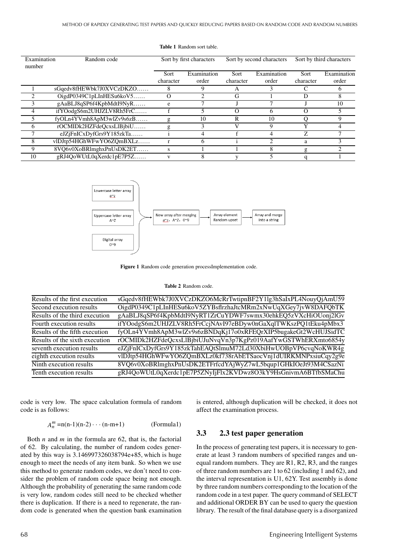| Examination<br>number | Random code              | Sort by first characters |              |           | Sort by second characters | Sort by third characters |             |  |
|-----------------------|--------------------------|--------------------------|--------------|-----------|---------------------------|--------------------------|-------------|--|
|                       |                          | Sort                     | Examination  | Sort      | Examination               | Sort                     | Examination |  |
|                       |                          | character                | order        | character | order                     | character                | order       |  |
|                       | sGqedv8fHEWbk7J0XVCzDKZO |                          | 9            | Α         |                           |                          | n           |  |
|                       | OigdP0349C1pLInHESu6koV5 | $\lambda$                |              | G         |                           | Ð                        | x           |  |
|                       | gAaBLJ8qSP6f4KpbMdtI9NyR | e                        |              |           |                           |                          | 10          |  |
| 4                     | ifYOodgS6m2UHJZLV8Rh5FrC |                          | 5            | Ω         | 6                         | Ω                        |             |  |
|                       | fyOLn4YVmh8ApM3wlZv9s6zB | g                        | 10           | R         | 10                        | ∩                        | 9           |  |
| 6                     | rOCMIDk2HZFdeQcxsLlBjbiU | g                        | 3            | V         | $\mathbf Q$               | Y                        |             |  |
|                       | eJZjFnICxDyfGrs9Y185zkTa |                          | 4            |           | 4                         | Z                        |             |  |
| 8                     | vlDJtp54HGhWFwYO6ZQmBXLz |                          | <sub>b</sub> |           |                           | a                        |             |  |
| 9                     | 8VQ6v0XoBRlmghxPnUsDK2ET | s                        |              |           | 8                         | g                        |             |  |
| 10                    | gRJ4QoWUtL0qXerdc1pE7P5Z |                          | 8            |           |                           |                          |             |  |





Figure 1 Random code generation processImplementation code.

### Table 2 Random code.

| Results of the first execution | sGqedv8fHEWbk7J0XVCzDKZO6McRrTwtipnBF2Y1lg3hSaIxPL4NouyQjAmU59 |
|--------------------------------|----------------------------------------------------------------|
| Second execution results       | OigdP0349C1pLInHESu6koV5ZYBsflrzhaJtcMRm2xNwUqXGey7jvW8DAFQbTK |
| Results of the third execution | gAaBLJ8qSP6f4KpbMdtI9NyRT1ZrCuYDWF7swmx30ehkEQ5zVXcHiOUonj2lGv |
| Fourth execution results       | ifYOodgS6m2UHJZLV8Rh5FrCcjNAvI97eBDyw0nGaXqlTWKszPQ1tEku4pMbx3 |
| Results of the fifth execution | fyOLn4YVmh8ApM3wlZv9s6zBNDqKj17o0xRFEQrXIP5bugakeGt2WcHUJSidTC |
| Results of the sixth execution | rOCMIDk2HZFdeQcxsLlBjbiUJuNvqVn3p7KgPz019AafYwGSTWhERXmto6854y |
| seventh execution results      | eJZjFnICxDyfGrs9Y185zkTahEAQtSlmuM72Ld30XbiHwUOBpVP6cvqNoKWR4g |
| eighth execution results       | vlDJtp54HGhWFwYO6ZQmBXLz0kf738rAbETSaocVnj1dUIRKMNPxsiuCqy2g9e |
| Ninth execution results        | 8VQ6v0XoBRlmghxPnUsDK2ETFrfcdYAjWyZ7wL5bqup1GHkIOeJt93M4CSazNi |
| Tenth execution results        | gRJ4QoWUtL0qXerdc1pE7P5ZNyIjFlx2KVDwz8O3kY9HsGnivmA6BTfbSMaChu |
|                                |                                                                |

code is very low. The space calculation formula of random code is as follows:

$$
A_n^m = n(n-1)(n-2)\cdots(n-m+1)
$$
 (Formula1)

Both  $n$  and  $m$  in the formula are 62, that is, the factorial of 62. By calculating, the number of random codes generated by this way is 3.146997326038794e+85, which is huge enough to meet the needs of any item bank. So when we use this method to generate random codes, we don't need to consider the problem of random code space being not enough. Although the probability of generating the same random code is very low, random codes still need to be checked whether there is duplication. If there is a need to regenerate, the random code is generated when the question bank examination is entered, although duplication will be checked, it does not affect the examination process.

#### $3.3$ 2.3 test paper generation

In the process of generating test papers, it is necessary to generate at least 3 random numbers of specified ranges and unequal random numbers. They are R1, R2, R3, and the ranges of three random numbers are 1 to  $62$  (including 1 and  $62$ ), and the interval representation is U1, 62Y. Test assembly is done by three random numbers corresponding to the location of the random code in a test paper. The query command of SELECT and additional ORDER BY can be used to query the question library. The result of the final database query is a disorganized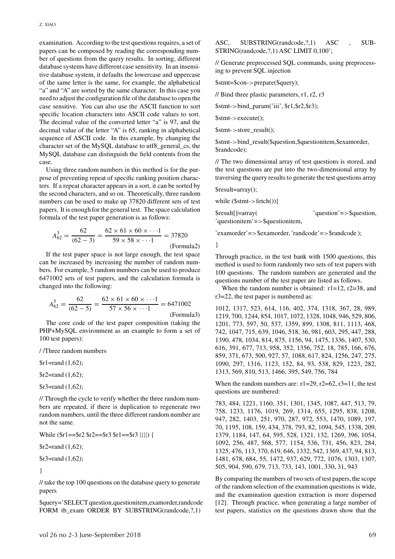examination. According to the test questions requires, a set of papers can be composed by reading the corresponding number of questions from the query results. In sorting, different database systems have different case sensitivity. In an insensitive database system, it defaults the lowercase and uppercase of the same letter is the same, for example, the alphabetical "a" and "A" are sorted by the same character. In this case you need to adjust the configuration file of the database to open the case sensitive. You can also use the ASCII function to sort specific location characters into ASCII code values to sort. The decimal value of the converted letter "a" is 97, and the decimal value of the letter "A" is 65, ranking in alphabetical sequence of ASCII code. In this example, by changing the character set of the MySQL database to utf8\_general\_cs, the MySQL database can distinguish the field contents from the case.

Using three random numbers in this method is for the purpose of preventing repeat of specific ranking position characters. If a repeat character appears in a sort, it can be sorted by the second characters, and so on. Theoretically, three random numbers can be used to make up 37820 different sets of test papers. It is enough for the general test. The space calculation formula of the test paper generation is as follows:

$$
A_{62}^3 = \frac{62}{(62-3)} = \frac{62 \times 61 \times 60 \times \dots1}{59 \times 58 \times \dots1} = 37820
$$

*(*Formula2*)*

If the test paper space is not large enough, the test space can be increased by increasing the number of random numbers. For example, 5 random numbers can be used to produce 6471002 sets of test papers, and the calculation formula is changed into the following:

$$
A_{62}^{5} = \frac{62}{(62-5)} = \frac{62 \times 61 \times 60 \times \dots1}{57 \times 56 \times \dots1} = 6471002
$$
\n(Formula3)

The core code of the test paper composition (taking the PHP+MySQL environment as an example to form a set of 100 test papers):

/ /Three random numbers

\$r1=rand (1,62);

\$r2=rand (1,62);

\$r3=rand (1,62);

// Through the cycle to verify whether the three random numbers are repeated, if there is duplication to regenerate two random numbers, until the three different random number are not the same.

While (\$r1==\$r2 \$r2==\$r3 \$r1==\$r3 ||||) {

\$r2=rand (1,62);

\$r3=rand (1,62);

}

// take the top 100 questions on the database query to generate papers

\$query='SELECT question,questionitem,examorder,randcode FORM tb\_exam ORDER BY SUBSTRING(randcode, ?, 1)

ASC, SUBSTRING(randcode, ?, 1) ASC, SUB-STRING(randcode,?,1) ASC LIMIT 0,100';

// Generate preprocessed SQL commands, using preprocessing to prevent SQL injection

\$stmt=\$con-*>*prepare(\$query);

// Bind three plastic parameters, r1, r2, r3

\$stmt-*>*bind\_param('iii', \$r1,\$r2,\$r3);

\$stmt-*>*execute();

\$stmt-*>*store\_result();

\$stmt-*>*bind\_result(\$question,\$questionitem,\$examorder, \$randcode);

// The two dimensional array of test questions is stored, and the test questions are put into the two-dimensional array by traversing the query results to generate the test questions array

\$result=array();

while (\$stmt-*>*fetch()){

\$result[]=array( 'question'=*>*\$question, 'questionitem'=*>*\$questionitem,

'examorder'=*>*\$examorder, 'randcode'=*>*\$randcode );

}

Through practice, in the test bank with 1500 questions, this method is used to form randomly two sets of test papers with 100 questions. The random numbers are generated and the questions number of the test paper are listed as follows.

When the random number is obtained:  $r1=12$ ,  $r2=38$ , and r3=22, the test paper is numbered as:

1012, 1317, 523, 614, 116, 402, 374, 1318, 367, 28, 989, 1219, 700, 1244, 854, 1017, 1072, 1328, 1048, 946, 529, 806, 1201, 773, 597, 50, 537, 1359, 899, 1308, 811, 1113, 468, 742, 1047, 715, 639, 1046, 518, 36, 981, 603, 295, 447, 288, 1390, 478, 1034, 814, 875, 1156, 94, 1475, 1336, 1407, 530, 616, 391, 677, 713, 958, 352, 1356, 752, 18, 785, 166, 676, 859, 371, 673, 500, 927, 57, 1088, 617, 824, 1256, 247, 275, 1090, 297, 1316, 1123, 152, 84, 93, 538, 829, 1223, 282, 1313, 569, 810, 513, 1466, 395, 549, 756, 784

When the random numbers are:  $r1=29$ ,  $r2=62$ ,  $r3=11$ , the test questions are numbered:

783, 484, 1221, 1160, 351, 1301, 1345, 1087, 447, 513, 79, 758, 1233, 1176, 1019, 269, 1314, 655, 1295, 838, 1208, 947, 282, 1403, 251, 970, 287, 972, 553, 1470, 1089, 197, 70, 1195, 108, 159, 434, 378, 793, 82, 1094, 545, 1338, 209, 1379, 1184, 147, 64, 595, 528, 1321, 132, 1269, 396, 1054, 1092, 256, 487, 568, 577, 1154, 536, 731, 456, 823, 284, 1325, 476, 113, 370, 619, 646, 1332, 542, 1369, 437, 94, 813, 1481, 678, 684, 55, 1472, 937, 629, 772, 1076, 1303, 1307, 505, 904, 590, 679, 713, 733, 143, 1001, 330, 31, 943

By comparing the numbers of two sets of test papers, the scope of the random selection of the examination questions is wide, and the examination question extraction is more dispersed [12]. Through practice, when generating a large number of test papers, statistics on the questions drawn show that the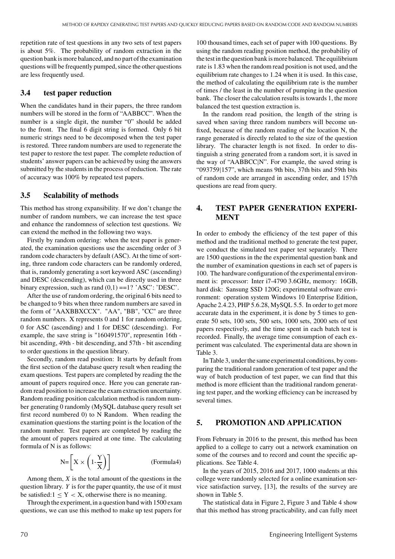repetition rate of test questions in any two sets of test papers is about 5%. The probability of random extraction in the question bank is more balanced, and no part of the examination questions will be frequently pumped, since the other questions are less frequently used.

## **3.4 test paper reduction**

When the candidates hand in their papers, the three random numbers will be stored in the form of "AABBCC". When the number is a single digit, the number "0" should be added to the front. The final 6 digit string is formed. Only 6 bit numeric strings need to be decomposed when the test paper is restored. Three random numbers are used to regenerate the test paper to restore the test paper. The complete reduction of students' answer papers can be achieved by using the answers submitted by the students in the process of reduction. The rate of accuracy was 100% by repeated test papers.

## **3.5 Scalability of methods**

This method has strong expansibility. If we don't change the number of random numbers, we can increase the test space and enhance the randomness of selection test questions. We can extend the method in the following two ways.

Firstly by random ordering: when the test paper is generated, the examination questions use the ascending order of 3 random code characters by default (ASC). At the time of sorting, three random code characters can be randomly ordered, that is, randomly generating a sort keyword ASC (ascending) and DESC (descending), which can be directly used in three binary expression, such as rand  $(0,1) =1$ ? 'ASC': 'DESC'.

After the use of random ordering, the original 6 bits need to be changed to 9 bits when three random numbers are saved in the form of "AAXBBXCCX". "AA", "BB", "CC" are three random numbers. X represents 0 and 1 for random ordering, 0 for ASC (ascending) and 1 for DESC (descending). For example, the save string is "160491570", representin 16th bit ascending, 49th - bit descending, and 57th - bit ascending to order questions in the question library.

Secondly, random read position: It starts by default from the first section of the database query result when reading the exam questions. Test papers are completed by reading the the amount of papers required once. Here you can generate random read position to increase the exam extraction uncertainty. Random reading position calculation method is random number generating 0 randomly (MySQL database query result set first record numbered 0) to N Random. When reading the examination questions the starting point is the location of the random number. Test papers are completed by reading the the amount of papers required at one time. The calculating formula of N is as follows:

$$
N = \left[ X \times \left( 1 - \frac{Y}{X} \right) \right]
$$
 (Formula4)

Among them, *X* is the total amount of the questions in the question library. *Y* is for the paper quantity, the use of it must be satisfied: $1 \le Y < X$ , otherwise there is no meaning.

Through the experiment, in a question band with 1500 exam questions, we can use this method to make up test papers for

100 thousand times, each set of paper with 100 questions. By using the random reading position method, the probability of the test in the question bank is more balanced. The equilibrium rate is 1.83 when the random read position is not used, and the equilibrium rate changes to 1.24 when it is used. In this case, the method of calculating the equilibrium rate is the number of times / the least in the number of pumping in the question bank. The closer the calculation results is towards 1, the more balanced the test question extraction is.

In the random read position, the length of the string is saved when saving three random numbers will become unfixed, because of the random reading of the location N, the range generated is directly related to the size of the question library. The character length is not fixed. In order to distinguish a string generated from a random sort, it is saved in the way of "AABBCC|N". For example, the saved string is "093759|157", which means 9th bits, 37th bits and 59th bits of random code are arranged in ascending order, and 157th questions are read from query.

# **4. TEST PAPER GENERATION EXPERI-MENT**

In order to embody the efficiency of the test paper of this method and the traditional method to generate the test paper, we conduct the simulated test paper test separately. There are 1500 questions in the the experimental question bank and the number of examination questions in each set of papers is 100. The hardware configuration of the experimental environment is: processor: Inter i7-4790 3.6GHz, memory: 16GB, hard disk: Sansung SSD 120G; experimental software environment: operation system Windows 10 Enterprise Edition, Apache 2.4.23, PHP 5.6.28, MySQL 5.5. In order to get more accurate data in the experiment, it is done by 5 times to generate 50 sets, 100 sets, 500 sets, 1000 sets, 2000 sets of test papers respectively, and the time spent in each batch test is recorded. Finally, the average time consumption of each experiment was calculated. The experimental data are shown in Table 3.

In Table 3, under the same experimental conditions, by comparing the traditional random generation of test paper and the way of batch production of test paper, we can find that this method is more efficient than the traditional random generating test paper, and the working efficiency can be increased by several times.

## **5. PROMOTION AND APPLICATION**

From February in 2016 to the present, this method has been applied to a college to carry out a network examination on some of the courses and to record and count the specific applications. See Table 4.

In the years of 2015, 2016 and 2017, 1000 students at this college were randomly selected for a online examination service satisfaction survey, [13], the results of the survey are shown in Table 5.

The statistical data in Figure 2, Figure 3 and Table 4 show that this method has strong practicability, and can fully meet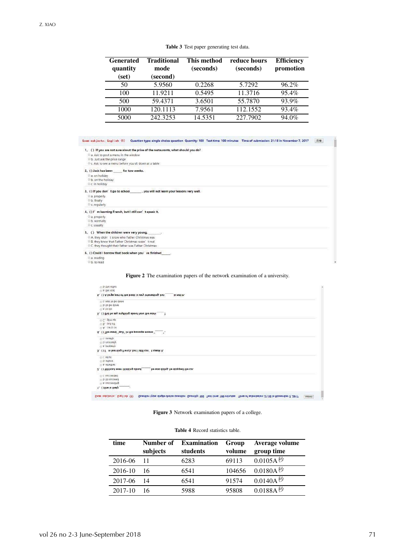| <b>Generated</b><br>quantity<br>(set) | <b>Traditional</b><br>mode<br>(second) | This method<br>(seconds) | reduce hours<br>(seconds) | <b>Efficiency</b><br>promotion |
|---------------------------------------|----------------------------------------|--------------------------|---------------------------|--------------------------------|
| 50                                    | 5.9560                                 | 0.2268                   | 5.7292                    | $96.2\%$                       |
| 100                                   | 11.9211                                | 0.5495                   | 11.3716                   | 95.4%                          |
| 500                                   | 59.4371                                | 3.6501                   | 55.7870                   | 93.9%                          |
| 1000                                  | 120.1113                               | 7.9561                   | 112.1552                  | 93.4%                          |
| 5000                                  | 242.3253                               | 14.5351                  | 227.7902                  | 94.0%                          |

Exam subjects: English (1) Question type: single choice question Quantity: 100 Test time: 100 minutes Time of submission: 21:18 in November 7, 2017 | 文卷

| 1. ( ) If you are not sure about the price of the restaurants, what should you do?<br>a. Ask to post a menu in the window<br>b. Just ask the price range<br>C. Ask to see a menu before you sit down at a table |  |
|-----------------------------------------------------------------------------------------------------------------------------------------------------------------------------------------------------------------|--|
| 2. () Jack has been for tow weeks.<br>a, on holiday<br>b. on the holiday<br>C. in holiday                                                                                                                       |  |
| , you will not learn your lessons very well.<br>3. () If you don't go to school<br>a. properly<br>b. finally<br>C. regularly                                                                                    |  |
| 4. () I' m learning French, but I still can' t speak it.<br>a. properly<br>b. normally<br>C. usually                                                                                                            |  |
| 5. () When the children were very young,<br>A. they didn't know who Father Christmas was<br>B. they knew that Father Christmas wasn't real<br>C. they thought their father was Father Christmas                 |  |
| 6. ( ) Could I borrow that book when you' ve finished .<br>a. reading<br>h. to read                                                                                                                             |  |

**Figure 2** The examination papers of the network examination of a university.

| U. D. the other<br>$\cup$ a. the rest                    |                                   |                                                                                                                          |        |
|----------------------------------------------------------|-----------------------------------|--------------------------------------------------------------------------------------------------------------------------|--------|
| 6. ( ) A large part of the book is very interesting, but | is not in.                        |                                                                                                                          |        |
| C. Was to be done<br>U. to be done<br>$Q$ a. to do       |                                   |                                                                                                                          |        |
| 5. () Did he say anything about how the work ?           |                                   |                                                                                                                          |        |
| C. give up<br><b>B.</b> put off<br>U.A., carry on        |                                   |                                                                                                                          |        |
| 4. () The word "quit" in the passage means "             |                                   |                                                                                                                          |        |
| C. usually<br>U. b. normally<br>a. properly              |                                   |                                                                                                                          |        |
| 3. () I' m learning French, but I still can' t speak it. |                                   |                                                                                                                          |        |
| C. What<br>D. Where<br>(a) a. whether                    |                                   |                                                                                                                          |        |
| 2. () Without even thinking about                        | he was doing, he stopped the car. |                                                                                                                          |        |
| C: succeeded<br>b. to succeed<br>a. succeeding           |                                   |                                                                                                                          |        |
| 1. (JShe is likely                                       |                                   |                                                                                                                          |        |
| pxam amplects: puRjisp (j)                               |                                   | Question type: single choice question Quantity: 100 Test time: 100 minutes Time of submission: 21:18 in November 7, 2017 | anpuis |

## **Figure 3** Network examination papers of a college.

**Table 4** Record statistics table.

| time    | Number of<br>subjects | <b>Examination</b><br>students | Group<br>volume | Average volume<br>group time    |
|---------|-----------------------|--------------------------------|-----------------|---------------------------------|
| 2016-06 | 11                    | 6283                           | 69113           | $0.0105$ A秒                     |
| 2016-10 | 16                    | 6541                           | 104656          | $0.0180A$ 秒                     |
| 2017-06 | 14                    | 6541                           | 91574           | $0.0140$ A $^{\rm \textit{\#}}$ |
| 2017-10 | 16                    | 5988                           | 95808           | $0.0188A$ 秒                     |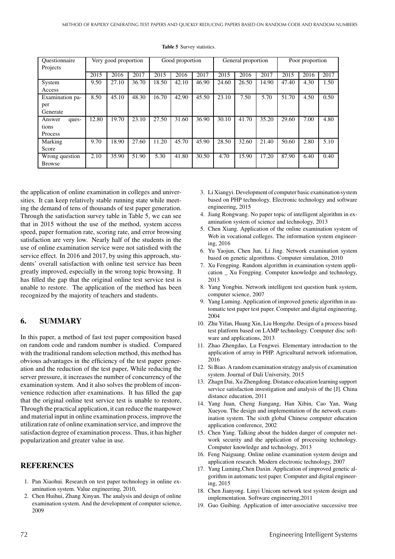| <i><u><b>Ouestionnaire</b></u></i> | Very good proportion |       | Good proportion |       | General proportion |       |       | Poor proportion |       |       |      |      |
|------------------------------------|----------------------|-------|-----------------|-------|--------------------|-------|-------|-----------------|-------|-------|------|------|
| Projects                           |                      |       |                 |       |                    |       |       |                 |       |       |      |      |
|                                    | 2015                 | 2016  | 2017            | 2015  | 2016               | 2017  | 2015  | 2016            | 2017  | 2015  | 2016 | 2017 |
| System                             | 9.50                 | 27.10 | 36.70           | 18.50 | 42.10              | 46.90 | 24.60 | 26.50           | 14.90 | 47.40 | 4.30 | 1.50 |
| Access                             |                      |       |                 |       |                    |       |       |                 |       |       |      |      |
| Examination pa-                    | 8.50                 | 45.10 | 48.30           | 16.70 | 42.90              | 45.50 | 23.10 | 7.50            | 5.70  | 51.70 | 4.50 | 0.50 |
| per                                |                      |       |                 |       |                    |       |       |                 |       |       |      |      |
| Generate                           |                      |       |                 |       |                    |       |       |                 |       |       |      |      |
| Answer<br>ques-                    | 12.80                | 19.70 | 23.10           | 27.50 | 31.60              | 36.90 | 30.10 | 41.70           | 35.20 | 29.60 | 7.00 | 4.80 |
| tions                              |                      |       |                 |       |                    |       |       |                 |       |       |      |      |
| Process                            |                      |       |                 |       |                    |       |       |                 |       |       |      |      |
| Marking                            | 9.70                 | 18.90 | 27.60           | 11.20 | 45.70              | 45.90 | 28.50 | 32.60           | 21.40 | 50.60 | 2.80 | 5.10 |
| Score                              |                      |       |                 |       |                    |       |       |                 |       |       |      |      |
| Wrong question                     | 2.10                 | 35.90 | 51.90           | 5.30  | 41.80              | 30.50 | 4.70  | 15.90           | 17.20 | 87.90 | 6.40 | 0.40 |
| <b>Browse</b>                      |                      |       |                 |       |                    |       |       |                 |       |       |      |      |

**Table 5** Survey statistics.

the application of online examination in colleges and universities. It can keep relatively stable running state while meeting the demand of tens of thousands of test paper generation. Through the satisfaction survey table in Table 5, we can see that in 2015 without the use of the method, system access speed, paper formation rate, scoring rate, and error browsing satisfaction are very low. Nearly half of the students in the use of online examination service were not satisfied with the service effect. In 2016 and 2017, by using this approach, students' overall satisfaction with online test service has been greatly improved, especially in the wrong topic browsing. It has filled the gap that the original online test service test is unable to restore. The application of the method has been recognized by the majority of teachers and students.

## **6. SUMMARY**

In this paper, a method of fast test paper composition based on random code and random number is studied. Compared with the traditional random selection method, this method has obvious advantages in the efficiency of the test paper generation and the reduction of the test paper, While reducing the server pressure, it increases the number of concurrency of the examination system. And it also solves the problem of inconvenience reduction after examinations. It has filled the gap that the original online test service test is unable to restore, Through the practical application, it can reduce the manpower and material input in online examination process, improve the utilization rate of online examination service, and improve the satisfaction degree of examination process. Thus, it has higher popularization and greater value in use.

## **REFERENCES**

- 1. Pan Xiaohui. Research on test paper technology in online examination system. Value engineering, 2010,
- 2. Chen Huihui, Zhang Xinyan. The analysis and design of online examination system. And the development of computer science, 2009
- 3. Li Xiangyi. Development of computer basic examination system based on PHP technology. Electronic technology and software engineering, 2015
- 4. Jiang Rongwang. No paper topic of intelligent algorithm in examination system of science and technology, 2013
- 5. Chen Xiang. Application of the online examination system of Web in vocational colleges. The information system engineering, 2016
- 6. Yu Yaojun, Chen Jun, Li Jing. Network examination system based on genetic algorithms. Computer simulation, 2010
- 7. Xu Fengping. Random algorithm in examination system application \_ Xu Fengping. Computer knowledge and technology, 2013
- 8. Yang Yongbin. Network intelligent test question bank system, computer science, 2007
- 9. Yang Luming. Application of improved genetic algorithm in automatic test paper test paper. Computer and digital engineering, 2004
- 10. Zhu Yifan, Huang Xin, Liu Hongzhe. Design of a process based test platform based on LAMP technology. Computer disc software and applications, 2013
- 11. Zhao Zhengdao, Lu Fengwei. Elementary introduction to the application of array in PHP. Agricultural network information, 2016
- 12. Si Biao. A random examination strategy analysis of examination system. Journal of Dali University, 2015
- 13. Zhagn Dai, Xu Zhengdong. Distance education learning support service satisfaction investigation and analysis of the [J]. China distance education, 2011
- 14. Yang Juan, Cheng Jiangang, Han Xibin, Cao Yan, Wang Xueyou. The design and implementation of the network examination system. The sixth global Chinese computer education application conference, 2002
- 15. Chen Yang. Talking about the hidden danger of computer network security and the application of processing technology. Computer knowledge and technology, 2013
- 16. Feng Naiguang. Online online examination system design and application research. Modern electronic technology, 2007
- 17. Yang Luming,Chen Daxin. Application of improved genetic algorithm in automatic test paper. Computer and digital engineering, 2015
- 18. Chen Jianyong. Linyi Unicom network test system design and implementation. Software engineering,2011
- 19. Guo Guibing. Application of inter-associative successive tree